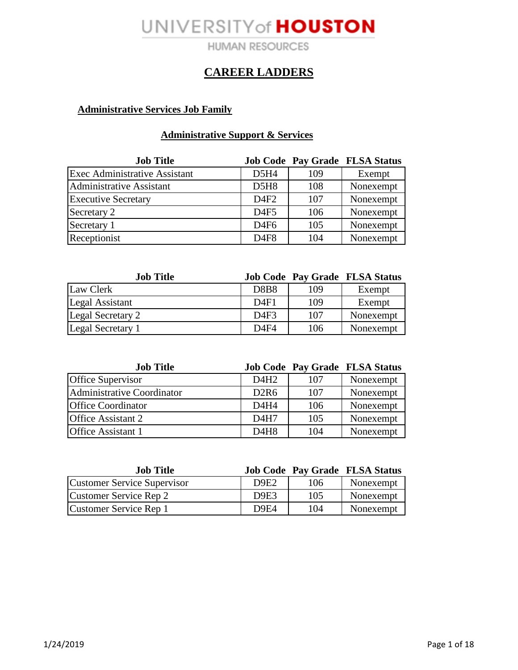**HUMAN RESOURCES** 

### **CAREER LADDERS**

### **Administrative Services Job Family**

### **Administrative Support & Services**

| <b>Job Title</b>                     |                  |     | <b>Job Code Pay Grade FLSA Status</b> |
|--------------------------------------|------------------|-----|---------------------------------------|
| <b>Exec Administrative Assistant</b> | D5H4             | 109 | Exempt                                |
| Administrative Assistant             | D5H8             | 108 | Nonexempt                             |
| <b>Executive Secretary</b>           | D4F2             | 107 | Nonexempt                             |
| Secretary 2                          | D4F5             | 106 | Nonexempt                             |
| Secretary 1                          | D4F6             | 105 | Nonexempt                             |
| Receptionist                         | D <sub>4F8</sub> | 104 | Nonexempt                             |

| <b>Job Title</b>         |                  |     | <b>Job Code Pay Grade FLSA Status</b> |
|--------------------------|------------------|-----|---------------------------------------|
| Law Clerk                | <b>D8B8</b>      | 109 | Exempt                                |
| Legal Assistant          | D4F1             | 109 | Exempt                                |
| <b>Legal Secretary 2</b> | D4F3             | 107 | Nonexempt                             |
| <b>Legal Secretary 1</b> | D <sub>4F4</sub> | 106 | Nonexempt                             |

| <b>Job Title</b>           |                               |     | <b>Job Code Pay Grade FLSA Status</b> |
|----------------------------|-------------------------------|-----|---------------------------------------|
| Office Supervisor          | D4H2                          | 107 | Nonexempt                             |
| Administrative Coordinator | D2R6                          | 107 | Nonexempt                             |
| <b>Office Coordinator</b>  | D4H4                          | 106 | Nonexempt                             |
| <b>Office Assistant 2</b>  | D <sub>4</sub> H <sub>7</sub> | 105 | Nonexempt                             |
| <b>Office Assistant 1</b>  | D4H8                          | 104 | Nonexempt                             |

| <b>Job Title</b>                   |                               |     | <b>Job Code Pay Grade FLSA Status</b> |
|------------------------------------|-------------------------------|-----|---------------------------------------|
| <b>Customer Service Supervisor</b> | D9E2                          | 106 | Nonexempt                             |
| Customer Service Rep 2             | D <sub>9</sub> E <sub>3</sub> | 105 | Nonexempt                             |
| Customer Service Rep 1             | D <sub>9E4</sub>              | 104 | Nonexempt                             |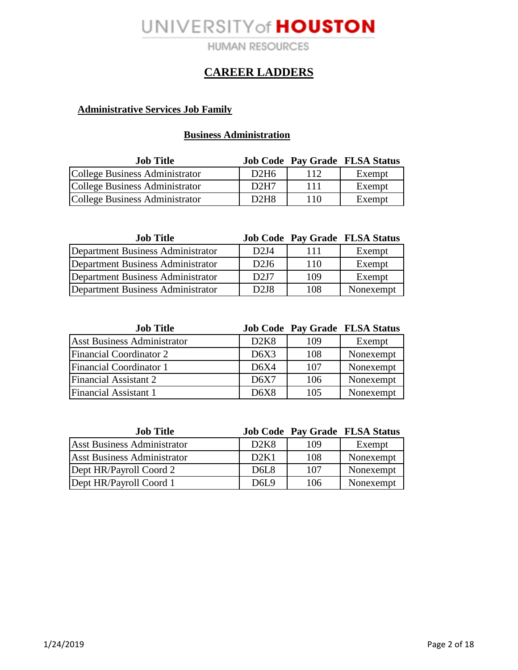**HUMAN RESOURCES** 

### **CAREER LADDERS**

### **Administrative Services Job Family**

### **Business Administration**

| <b>Job Title</b>               |                               |     | <b>Job Code Pay Grade FLSA Status</b> |
|--------------------------------|-------------------------------|-----|---------------------------------------|
| College Business Administrator | D <sub>2</sub> H <sub>6</sub> |     | Exempt                                |
| College Business Administrator | D2H7                          | 111 | Exempt                                |
| College Business Administrator | D <sub>2</sub> H <sub>8</sub> | 110 | Exempt                                |

| <b>Job Title</b>                  |                               |     | <b>Job Code Pay Grade FLSA Status</b> |
|-----------------------------------|-------------------------------|-----|---------------------------------------|
| Department Business Administrator | D2J4                          | 111 | Exempt                                |
| Department Business Administrator | D2J6                          | 110 | Exempt                                |
| Department Business Administrator | D2J7                          | 109 | Exempt                                |
| Department Business Administrator | D <sub>2</sub> J <sub>8</sub> | 108 | Nonexempt                             |

| <b>Job Title</b>                   |      |     | <b>Job Code Pay Grade FLSA Status</b> |
|------------------------------------|------|-----|---------------------------------------|
| <b>Asst Business Administrator</b> | D2K8 | 109 | Exempt                                |
| <b>Financial Coordinator 2</b>     | D6X3 | 108 | Nonexempt                             |
| <b>Financial Coordinator 1</b>     | D6X4 | 107 | Nonexempt                             |
| <b>Financial Assistant 2</b>       | D6X7 | 106 | Nonexempt                             |
| Financial Assistant 1              | D6X8 | 105 | Nonexempt                             |

| <b>Job Title</b>                   |             |     | <b>Job Code Pay Grade FLSA Status</b> |
|------------------------------------|-------------|-----|---------------------------------------|
| <b>Asst Business Administrator</b> | D2K8        | 109 | Exempt                                |
| <b>Asst Business Administrator</b> | D2K1        | 108 | Nonexempt                             |
| Dept HR/Payroll Coord 2            | <b>D6L8</b> | 107 | Nonexempt                             |
| Dept HR/Payroll Coord 1            | D6L9        | 106 | Nonexempt                             |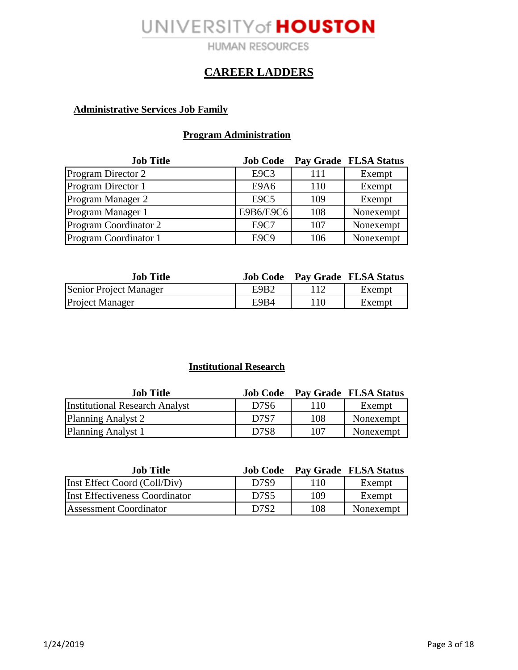**HUMAN RESOURCES** 

### **CAREER LADDERS**

### **Administrative Services Job Family**

### **Program Administration**

| <b>Job Title</b>             | <b>Job Code</b>               |     | Pay Grade FLSA Status |
|------------------------------|-------------------------------|-----|-----------------------|
| Program Director 2           | E9C3                          | 111 | Exempt                |
| Program Director 1           | E9A6                          | 110 | Exempt                |
| Program Manager 2            | E <sub>9</sub> C <sub>5</sub> | 109 | Exempt                |
| Program Manager 1            | E9B6/E9C6                     | 108 | Nonexempt             |
| <b>Program Coordinator 2</b> | <b>E9C7</b>                   | 107 | Nonexempt             |
| Program Coordinator 1        | E9C9                          | 106 | Nonexempt             |

| <b>Job Title</b>       |      |     | <b>Job Code</b> Pay Grade FLSA Status |
|------------------------|------|-----|---------------------------------------|
| Senior Project Manager | E9B2 |     | Exempt                                |
| <b>Project Manager</b> | E9B4 | 110 | Exempt                                |

### **Institutional Research**

| <b>Job Title</b>                      | <b>Job Code</b>               |     | <b>Pay Grade FLSA Status</b> |
|---------------------------------------|-------------------------------|-----|------------------------------|
| <b>Institutional Research Analyst</b> | D7S <sub>6</sub>              | 110 | Exempt                       |
| Planning Analyst 2                    | D <sub>7</sub> S <sub>7</sub> | 108 | Nonexempt                    |
| Planning Analyst 1                    | D7S8                          | 107 | Nonexempt                    |

| <b>Job Title</b>               |                               |     | <b>Job Code</b> Pay Grade FLSA Status |
|--------------------------------|-------------------------------|-----|---------------------------------------|
| Inst Effect Coord (Coll/Div)   | D <sub>7</sub> S <sub>9</sub> | 110 | Exempt                                |
| Inst Effectiveness Coordinator | D <sub>7</sub> S <sub>5</sub> | 109 | Exempt                                |
| Assessment Coordinator         | D <sub>7</sub> S <sub>2</sub> | 108 | Nonexempt                             |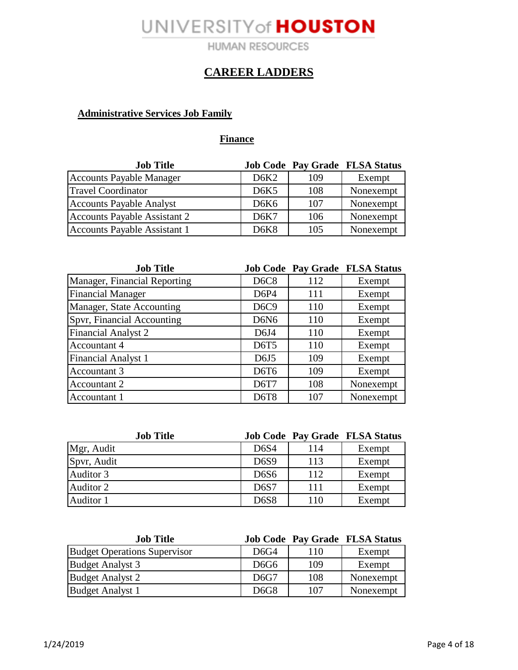**HUMAN RESOURCES** 

## **CAREER LADDERS**

### **Administrative Services Job Family**

### **Finance**

| <b>Job Title</b>                |                               |     | <b>Job Code Pay Grade FLSA Status</b> |
|---------------------------------|-------------------------------|-----|---------------------------------------|
| <b>Accounts Payable Manager</b> | D6K2                          | 109 | Exempt                                |
| <b>Travel Coordinator</b>       | D <sub>6</sub> K <sub>5</sub> | 108 | Nonexempt                             |
| <b>Accounts Payable Analyst</b> | D6K6                          | 107 | Nonexempt                             |
| Accounts Payable Assistant 2    | D6K7                          | 106 | Nonexempt                             |
| Accounts Payable Assistant 1    | D <sub>6</sub> K <sub>8</sub> | 105 | Nonexempt                             |

| <b>Job Title</b>             |                               |     | <b>Job Code Pay Grade FLSA Status</b> |
|------------------------------|-------------------------------|-----|---------------------------------------|
| Manager, Financial Reporting | D <sub>6</sub> C <sub>8</sub> | 112 | Exempt                                |
| <b>Financial Manager</b>     | D6P4                          | 111 | Exempt                                |
| Manager, State Accounting    | D <sub>6</sub> C <sub>9</sub> | 110 | Exempt                                |
| Spvr, Financial Accounting   | D6N <sub>6</sub>              | 110 | Exempt                                |
| <b>Financial Analyst 2</b>   | D6J4                          | 110 | Exempt                                |
| <b>Accountant 4</b>          | D6T5                          | 110 | Exempt                                |
| <b>Financial Analyst 1</b>   | D6J5                          | 109 | Exempt                                |
| Accountant 3                 | D <sub>6</sub> T <sub>6</sub> | 109 | Exempt                                |
| Accountant 2                 | D6T7                          | 108 | Nonexempt                             |
| Accountant 1                 | <b>D6T8</b>                   | 107 | Nonexempt                             |

| <b>Job Title</b> |                               |     | <b>Job Code Pay Grade FLSA Status</b> |
|------------------|-------------------------------|-----|---------------------------------------|
| Mgr, Audit       | D6S4                          | 114 | Exempt                                |
| Spvr, Audit      | D <sub>6</sub> S <sub>9</sub> | 113 | Exempt                                |
| Auditor 3        | D <sub>6</sub> S <sub>6</sub> | 112 | Exempt                                |
| Auditor 2        | <b>D6S7</b>                   | 111 | Exempt                                |
| Auditor 1        | <b>D6S8</b>                   | 110 | Exempt                                |

| <b>Job Title</b>                    |                               |     | <b>Job Code Pay Grade FLSA Status</b> |
|-------------------------------------|-------------------------------|-----|---------------------------------------|
| <b>Budget Operations Supervisor</b> | D6G4                          | 110 | Exempt                                |
| <b>Budget Analyst 3</b>             | D <sub>6</sub> G <sub>6</sub> | 109 | Exempt                                |
| <b>Budget Analyst 2</b>             | D6G7                          | 108 | Nonexempt                             |
| <b>Budget Analyst 1</b>             | D <sub>6</sub> G <sub>8</sub> | 107 | Nonexempt                             |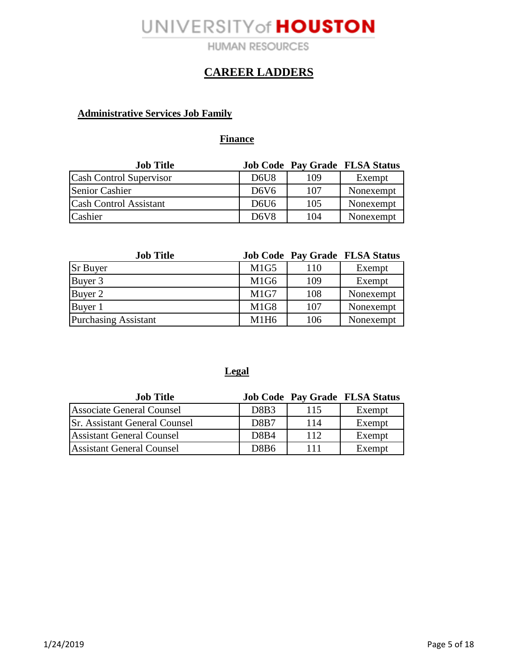**HUMAN RESOURCES** 

### **CAREER LADDERS**

### **Administrative Services Job Family**

#### **Finance**

| <b>Job Title</b>              |                               |     | <b>Job Code Pay Grade FLSA Status</b> |
|-------------------------------|-------------------------------|-----|---------------------------------------|
| Cash Control Supervisor       | D <sub>6</sub> U <sub>8</sub> | 109 | Exempt                                |
| <b>Senior Cashier</b>         | D <sub>6</sub> V <sub>6</sub> | 107 | Nonexempt                             |
| <b>Cash Control Assistant</b> | D <sub>6</sub> U <sub>6</sub> | 105 | Nonexempt                             |
| Cashier                       | D <sub>6</sub> V <sub>8</sub> | 104 | Nonexempt                             |

| <b>Job Title</b>            |                               |     | <b>Job Code Pay Grade FLSA Status</b> |
|-----------------------------|-------------------------------|-----|---------------------------------------|
| <b>Sr Buyer</b>             | M1G5                          | 110 | Exempt                                |
| Buyer 3                     | M <sub>1</sub> G <sub>6</sub> | 109 | Exempt                                |
| Buyer 2                     | M1G7                          | 108 | Nonexempt                             |
| Buyer 1                     | M <sub>1G8</sub>              | 107 | Nonexempt                             |
| <b>Purchasing Assistant</b> | M1H6                          | 106 | Nonexempt                             |

### **Legal**

| <b>Job Title</b>                     |                  |     | <b>Job Code Pay Grade FLSA Status</b> |
|--------------------------------------|------------------|-----|---------------------------------------|
| <b>Associate General Counsel</b>     | D8B3             | 115 | Exempt                                |
| <b>Sr. Assistant General Counsel</b> | D8B7             | 114 | Exempt                                |
| <b>Assistant General Counsel</b>     | D8B4             | 112 | Exempt                                |
| <b>Assistant General Counsel</b>     | D8B <sub>6</sub> | 111 | Exempt                                |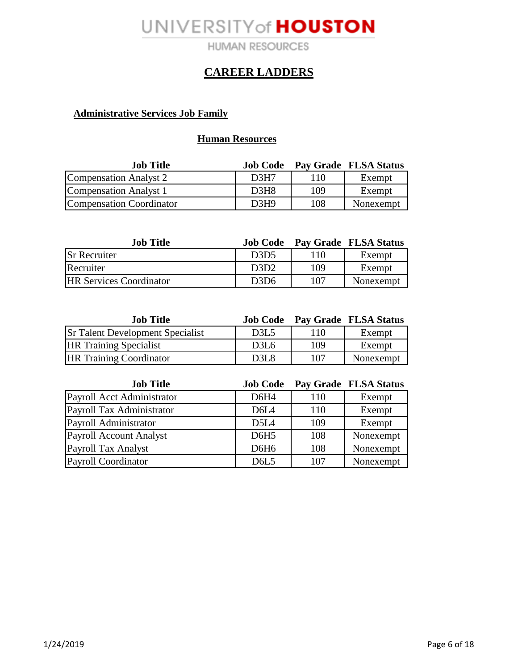**HUMAN RESOURCES** 

### **CAREER LADDERS**

### **Administrative Services Job Family**

#### **Human Resources**

| <b>Job Title</b>         |                  |     | <b>Job Code</b> Pay Grade FLSA Status |
|--------------------------|------------------|-----|---------------------------------------|
| Compensation Analyst 2   | D <sub>3H7</sub> | 110 | Exempt                                |
| Compensation Analyst 1   | D3H8             | 109 | Exempt                                |
| Compensation Coordinator | D3H9             | 108 | Nonexempt                             |

| <b>Job</b> Title               | <b>Job Code</b>               |     | Pay Grade FLSA Status |
|--------------------------------|-------------------------------|-----|-----------------------|
| <b>Sr Recruiter</b>            | D <sub>3</sub> D <sub>5</sub> | 110 | Exempt                |
| Recruiter                      | D <sub>3</sub> D <sub>2</sub> | 109 | Exempt                |
| <b>HR Services Coordinator</b> | D <sub>3</sub> D <sub>6</sub> | 107 | Nonexempt             |

| <b>Job Title</b>                        | <b>Job Code</b>               |     | Pay Grade FLSA Status |
|-----------------------------------------|-------------------------------|-----|-----------------------|
| <b>Sr Talent Development Specialist</b> | D <sub>3</sub> L <sub>5</sub> | 110 | Exempt                |
| <b>HR Training Specialist</b>           | D <sub>3</sub> L <sub>6</sub> | 109 | Exempt                |
| <b>HR Training Coordinator</b>          | D3L8                          | 107 | Nonexempt             |

| <b>Job Title</b>               | <b>Job Code</b>               |     | Pay Grade FLSA Status |
|--------------------------------|-------------------------------|-----|-----------------------|
| Payroll Acct Administrator     | D6H4                          | 110 | Exempt                |
| Payroll Tax Administrator      | D <sub>6</sub> L <sub>4</sub> | 110 | Exempt                |
| Payroll Administrator          | D <sub>5</sub> L <sub>4</sub> | 109 | Exempt                |
| <b>Payroll Account Analyst</b> | D6H <sub>5</sub>              | 108 | Nonexempt             |
| <b>Payroll Tax Analyst</b>     | D6H <sub>6</sub>              | 108 | Nonexempt             |
| Payroll Coordinator            | D <sub>6</sub> L <sub>5</sub> | 107 | Nonexempt             |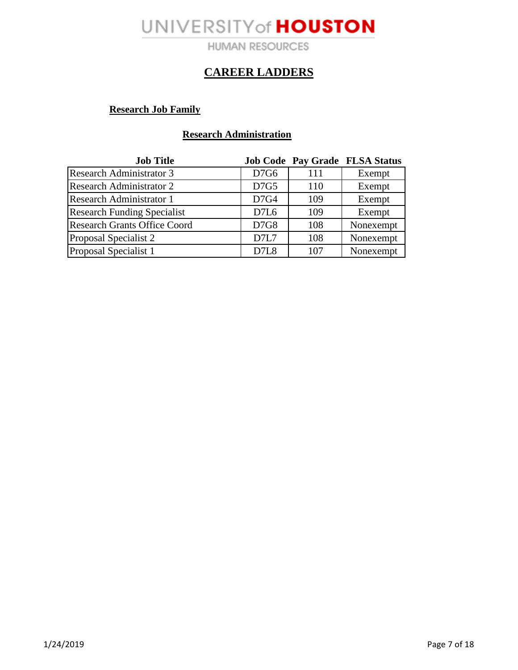**HUMAN RESOURCES** 

### **CAREER LADDERS**

### **Research Job Family**

#### **Research Administration**

| <b>Job Title</b>                    |      |     | <b>Job Code Pay Grade FLSA Status</b> |
|-------------------------------------|------|-----|---------------------------------------|
| <b>Research Administrator 3</b>     | D7G6 | 111 | Exempt                                |
| <b>Research Administrator 2</b>     | D7G5 | 110 | Exempt                                |
| <b>Research Administrator 1</b>     | D7G4 | 109 | Exempt                                |
| <b>Research Funding Specialist</b>  | D7L6 | 109 | Exempt                                |
| <b>Research Grants Office Coord</b> | D7G8 | 108 | Nonexempt                             |
| Proposal Specialist 2               | D7L7 | 108 | Nonexempt                             |
| Proposal Specialist 1               | D7L8 | 107 | Nonexempt                             |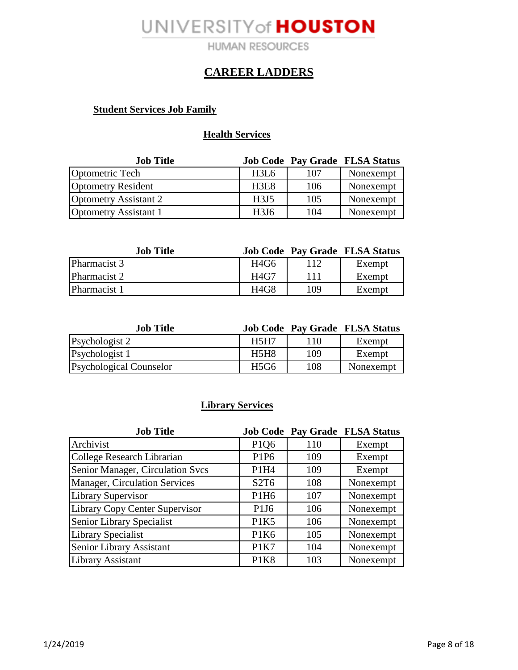**HUMAN RESOURCES** 

### **CAREER LADDERS**

#### **Student Services Job Family**

#### **Health Services**

| <b>Job Title</b>             |                               |     | <b>Job Code Pay Grade FLSA Status</b> |
|------------------------------|-------------------------------|-----|---------------------------------------|
| Optometric Tech              | H3L6                          | 107 | Nonexempt                             |
| <b>Optometry Resident</b>    | H <sub>3</sub> E <sub>8</sub> | 106 | Nonexempt                             |
| Optometry Assistant 2        | H <sub>3J5</sub>              | 105 | Nonexempt                             |
| <b>Optometry Assistant 1</b> | H <sub>3J6</sub>              | 104 | Nonexempt                             |

| <b>Job Title</b> |                  |     | <b>Job Code Pay Grade FLSA Status</b> |
|------------------|------------------|-----|---------------------------------------|
| Pharmacist 3     | H <sub>4G6</sub> |     | Exempt                                |
| Pharmacist 2     | H4G7             | 111 | Exempt                                |
| Pharmacist 1     | H4G8             | 109 | Exempt                                |

| <b>Job Title</b>               |             |     | <b>Job Code Pay Grade FLSA Status</b> |
|--------------------------------|-------------|-----|---------------------------------------|
| Psychologist 2                 | <b>H5H7</b> | 110 | Exempt                                |
| Psychologist 1                 | H5H8        | 109 | Exempt                                |
| <b>Psychological Counselor</b> | H5G6        | 108 | Nonexempt                             |

### **Library Services**

| <b>Job Title</b>                     |                               |     | <b>Job Code Pay Grade FLSA Status</b> |
|--------------------------------------|-------------------------------|-----|---------------------------------------|
| Archivist                            | P1Q6                          | 110 | Exempt                                |
| College Research Librarian           | P1P6                          | 109 | Exempt                                |
| Senior Manager, Circulation Svcs     | P1H4                          | 109 | Exempt                                |
| <b>Manager, Circulation Services</b> | S <sub>2</sub> T <sub>6</sub> | 108 | Nonexempt                             |
| <b>Library Supervisor</b>            | P <sub>1</sub> H <sub>6</sub> | 107 | Nonexempt                             |
| Library Copy Center Supervisor       | P <sub>1</sub> J <sub>6</sub> | 106 | Nonexempt                             |
| Senior Library Specialist            | P1K5                          | 106 | Nonexempt                             |
| <b>Library Specialist</b>            | P <sub>1</sub> K <sub>6</sub> | 105 | Nonexempt                             |
| Senior Library Assistant             | P1K7                          | 104 | Nonexempt                             |
| <b>Library Assistant</b>             | P1K8                          | 103 | Nonexempt                             |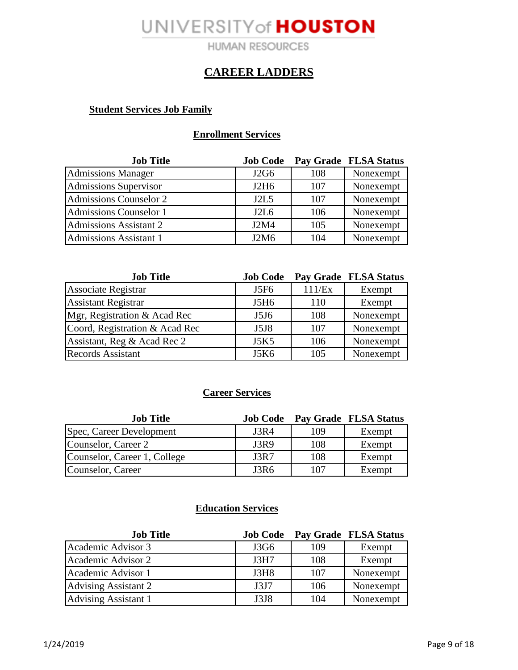**HUMAN RESOURCES** 

### **CAREER LADDERS**

#### **Student Services Job Family**

#### **Enrollment Services**

| <b>Job Title</b>              | <b>Job Code</b>               |     | Pay Grade FLSA Status |
|-------------------------------|-------------------------------|-----|-----------------------|
| <b>Admissions Manager</b>     | J2G6                          | 108 | Nonexempt             |
| Admissions Supervisor         | J2H6                          | 107 | Nonexempt             |
| <b>Admissions Counselor 2</b> | J2L5                          | 107 | Nonexempt             |
| Admissions Counselor 1        | J2L6                          | 106 | Nonexempt             |
| <b>Admissions Assistant 2</b> | J2M4                          | 105 | Nonexempt             |
| Admissions Assistant 1        | J <sub>2</sub> M <sub>6</sub> | 104 | Nonexempt             |

| <b>Job Title</b>               | <b>Job Code</b>  |        | Pay Grade FLSA Status |
|--------------------------------|------------------|--------|-----------------------|
| <b>Associate Registrar</b>     | J5F6             | 111/Ex | Exempt                |
| <b>Assistant Registrar</b>     | J5H <sub>6</sub> | 110    | Exempt                |
| Mgr, Registration & Acad Rec   | J5J6             | 108    | Nonexempt             |
| Coord, Registration & Acad Rec | J5J8             | 107    | Nonexempt             |
| Assistant, Reg & Acad Rec 2    | <b>J5K5</b>      | 106    | Nonexempt             |
| <b>Records Assistant</b>       | J5K6             | 105    | Nonexempt             |

#### **Career Services**

| <b>Job Title</b>             | <b>Job Code</b> |     | <b>Pay Grade FLSA Status</b> |
|------------------------------|-----------------|-----|------------------------------|
| Spec, Career Development     | J3R4            | 109 | Exempt                       |
| Counselor, Career 2          | <b>J3R9</b>     | 108 | Exempt                       |
| Counselor, Career 1, College | J3R7            | 108 | Exempt                       |
| Counselor, Career            | J3R6            | 107 | Exempt                       |

### **Education Services**

| <b>Job Title</b>            | <b>Job Code</b> |     | <b>Pay Grade FLSA Status</b> |
|-----------------------------|-----------------|-----|------------------------------|
| Academic Advisor 3          | J3G6            | 109 | Exempt                       |
| Academic Advisor 2          | J3H7            | 108 | Exempt                       |
| Academic Advisor 1          | J3H8            | 107 | Nonexempt                    |
| <b>Advising Assistant 2</b> | J3J7            | 106 | Nonexempt                    |
| <b>Advising Assistant 1</b> | J3J8            | 104 | Nonexempt                    |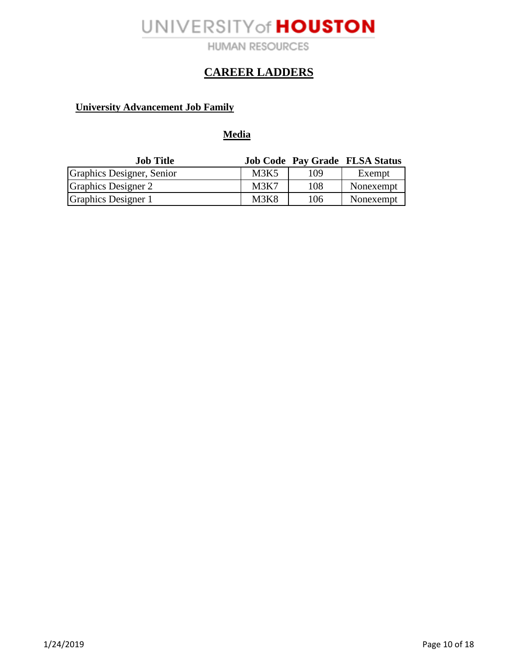**HUMAN RESOURCES** 

## **CAREER LADDERS**

### **University Advancement Job Family**

**Media**

| <b>Job Title</b>           |      |     | <b>Job Code Pay Grade FLSA Status</b> |
|----------------------------|------|-----|---------------------------------------|
| Graphics Designer, Senior  | M3K5 | 109 | Exempt                                |
| <b>Graphics Designer 2</b> | M3K7 | 108 | Nonexempt                             |
| Graphics Designer 1        | M3K8 | 106 | Nonexempt                             |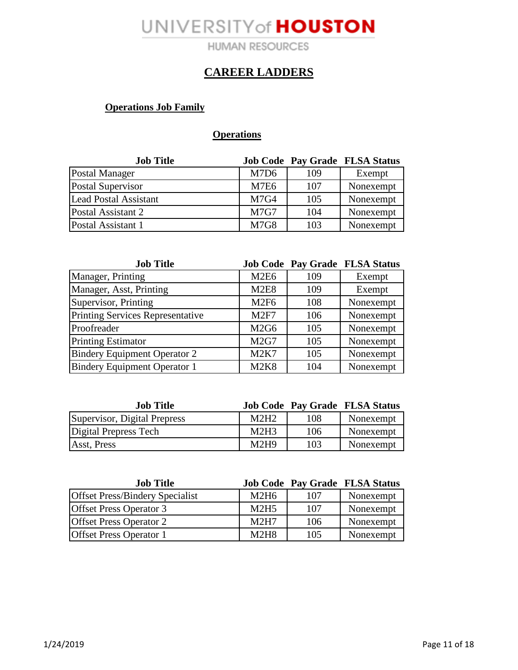**HUMAN RESOURCES** 

## **CAREER LADDERS**

### **Operations Job Family**

### **Operations**

| <b>Job Title</b>             |                  |     | <b>Job Code Pay Grade FLSA Status</b> |
|------------------------------|------------------|-----|---------------------------------------|
| Postal Manager               | M7D <sub>6</sub> | 109 | Exempt                                |
| Postal Supervisor            | M7E6             | 107 | Nonexempt                             |
| <b>Lead Postal Assistant</b> | M7G4             | 105 | Nonexempt                             |
| Postal Assistant 2           | M7G7             | 104 | Nonexempt                             |
| Postal Assistant 1           | <b>M7G8</b>      | 103 | Nonexempt                             |

| <b>Job Title</b>                        |                               |     | <b>Job Code Pay Grade FLSA Status</b> |
|-----------------------------------------|-------------------------------|-----|---------------------------------------|
| Manager, Printing                       | M <sub>2E6</sub>              | 109 | Exempt                                |
| Manager, Asst, Printing                 | M <sub>2</sub> E <sub>8</sub> | 109 | Exempt                                |
| Supervisor, Printing                    | M <sub>2F6</sub>              | 108 | Nonexempt                             |
| <b>Printing Services Representative</b> | M2F7                          | 106 | Nonexempt                             |
| Proofreader                             | M <sub>2G6</sub>              | 105 | Nonexempt                             |
| <b>Printing Estimator</b>               | M2G7                          | 105 | Nonexempt                             |
| <b>Bindery Equipment Operator 2</b>     | <b>M2K7</b>                   | 105 | Nonexempt                             |
| <b>Bindery Equipment Operator 1</b>     | <b>M2K8</b>                   | 104 | Nonexempt                             |

| <b>Job Title</b>             |      |     | <b>Job Code Pay Grade FLSA Status</b> |
|------------------------------|------|-----|---------------------------------------|
| Supervisor, Digital Prepress | M2H2 | 108 | Nonexempt                             |
| Digital Prepress Tech        | M2H3 | 106 | Nonexempt                             |
| Asst, Press                  | M2H9 | 103 | Nonexempt                             |

| <b>Job Title</b>                       |                               |     | <b>Job Code Pay Grade FLSA Status</b> |
|----------------------------------------|-------------------------------|-----|---------------------------------------|
| <b>Offset Press/Bindery Specialist</b> | M <sub>2</sub> H <sub>6</sub> | 107 | Nonexempt                             |
| <b>Offset Press Operator 3</b>         | M2H5                          | 107 | Nonexempt                             |
| <b>Offset Press Operator 2</b>         | M2H7                          | 106 | Nonexempt                             |
| <b>Offset Press Operator 1</b>         | M2H8                          | 105 | Nonexempt                             |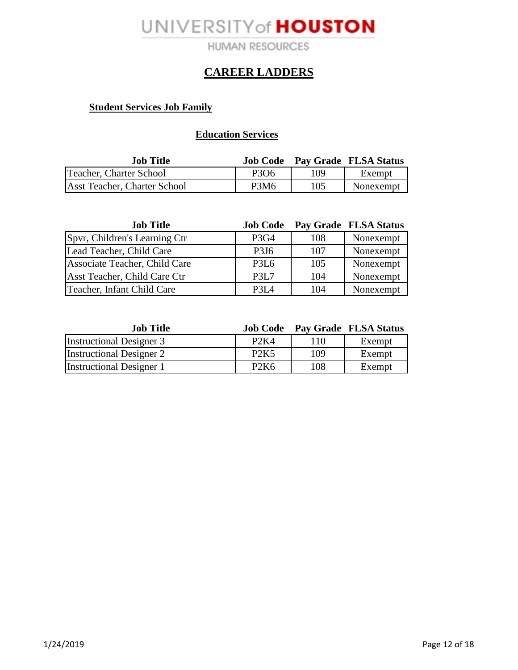**HUMAN RESOURCES** 

### **CAREER LADDERS**

#### **Student Services Job Family**

### **Education Services**

| <b>Job Title</b>                    |                  |     | <b>Job Code</b> Pay Grade FLSA Status |
|-------------------------------------|------------------|-----|---------------------------------------|
| Teacher, Charter School             | P306             | 109 | Exempt                                |
| <b>Asst Teacher, Charter School</b> | P3M <sub>6</sub> | 105 | Nonexempt                             |

| <b>Job Title</b>              | <b>Job Code</b>               |     | Pay Grade FLSA Status |
|-------------------------------|-------------------------------|-----|-----------------------|
| Spyr, Children's Learning Ctr | P <sub>3</sub> G <sub>4</sub> | 108 | Nonexempt             |
| Lead Teacher, Child Care      | P <sub>3J6</sub>              | 107 | Nonexempt             |
| Associate Teacher, Child Care | P <sub>3</sub> L <sub>6</sub> | 105 | Nonexempt             |
| Asst Teacher, Child Care Ctr  | P <sub>3</sub> L <sub>7</sub> | 104 | Nonexempt             |
| Teacher, Infant Child Care    | P <sub>3</sub> L <sub>4</sub> | 104 | Nonexempt             |

| <b>Job Title</b>                | <b>Job Code</b>               |     | Pay Grade FLSA Status |
|---------------------------------|-------------------------------|-----|-----------------------|
| <b>Instructional Designer 3</b> | P <sub>2</sub> K <sub>4</sub> | 110 | Exempt                |
| <b>Instructional Designer 2</b> | P <sub>2</sub> K <sub>5</sub> | 109 | Exempt                |
| <b>Instructional Designer 1</b> | P <sub>2</sub> K <sub>6</sub> | 108 | Exempt                |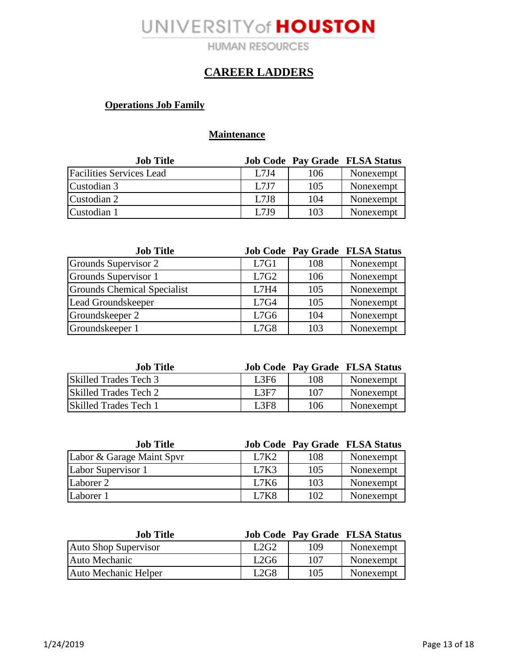**HUMAN RESOURCES** 

### **CAREER LADDERS**

### **Operations Job Family**

### **Maintenance**

| <b>Job Title</b>                |      |     | <b>Job Code Pay Grade FLSA Status</b> |
|---------------------------------|------|-----|---------------------------------------|
| <b>Facilities Services Lead</b> | L7J4 | 106 | Nonexempt                             |
| Custodian 3                     | L7J7 | 105 | Nonexempt                             |
| Custodian 2                     | L7J8 | 104 | Nonexempt                             |
| Custodian 1                     | L7J9 | 103 | Nonexempt                             |

| <b>Job Title</b>                   |      |     | <b>Job Code Pay Grade FLSA Status</b> |
|------------------------------------|------|-----|---------------------------------------|
| Grounds Supervisor 2               | L7G1 | 108 | Nonexempt                             |
| Grounds Supervisor 1               | L7G2 | 106 | Nonexempt                             |
| <b>Grounds Chemical Specialist</b> | L7H4 | 105 | Nonexempt                             |
| Lead Groundskeeper                 | L7G4 | 105 | Nonexempt                             |
| Groundskeeper 2                    | L7G6 | 104 | Nonexempt                             |
| Groundskeeper 1                    | L7G8 | 103 | Nonexempt                             |

| <b>Job Title</b>             |       |     | <b>Job Code Pay Grade FLSA Status</b> |
|------------------------------|-------|-----|---------------------------------------|
| <b>Skilled Trades Tech 3</b> | L3F6  | 108 | Nonexempt                             |
| Skilled Trades Tech 2        | 1.3F7 | 107 | Nonexempt                             |
| <b>Skilled Trades Tech 1</b> | L3F8  | 106 | Nonexempt                             |

| <b>Job Title</b>          |      |     | <b>Job Code Pay Grade FLSA Status</b> |
|---------------------------|------|-----|---------------------------------------|
| Labor & Garage Maint Spvr | L7K2 | 108 | Nonexempt                             |
| Labor Supervisor 1        | L7K3 | 105 | Nonexempt                             |
| Laborer 2                 | L7K6 | 103 | Nonexempt                             |
| Laborer 1                 | L7K8 | 102 | Nonexempt                             |

| <b>Job Title</b>            |                  |     | <b>Job Code Pay Grade FLSA Status</b> |
|-----------------------------|------------------|-----|---------------------------------------|
| <b>Auto Shop Supervisor</b> | L2G2             | 109 | Nonexempt                             |
| Auto Mechanic               | L <sub>2G6</sub> | 107 | Nonexempt                             |
| Auto Mechanic Helper        | L2G8             | 105 | Nonexempt                             |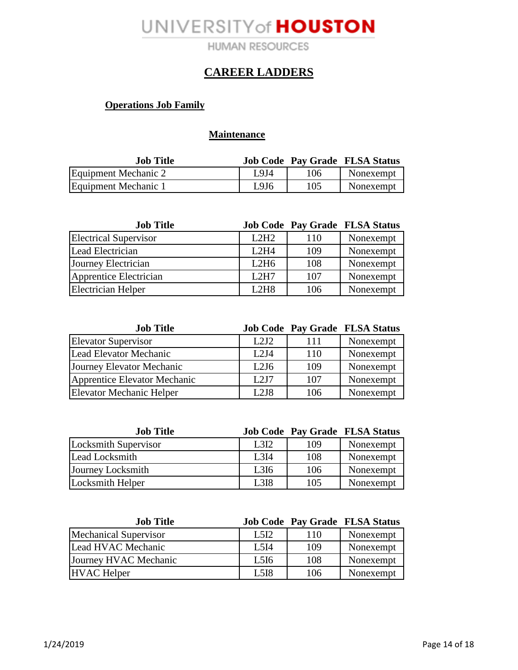**HUMAN RESOURCES** 

### **CAREER LADDERS**

### **Operations Job Family**

#### **Maintenance**

| <b>Job Title</b>     |       |     | <b>Job Code Pay Grade FLSA Status</b> |
|----------------------|-------|-----|---------------------------------------|
| Equipment Mechanic 2 | I 914 | 106 | Nonexempt                             |
| Equipment Mechanic 1 | L9J6  | 105 | Nonexempt                             |

| <b>Job Title</b>             |      |     | <b>Job Code Pay Grade FLSA Status</b> |
|------------------------------|------|-----|---------------------------------------|
| <b>Electrical Supervisor</b> | L2H2 | 110 | Nonexempt                             |
| Lead Electrician             | L2H4 | 109 | Nonexempt                             |
| Journey Electrician          | L2H6 | 108 | Nonexempt                             |
| Apprentice Electrician       | L2H7 | 107 | Nonexempt                             |
| <b>Electrician Helper</b>    | L2H8 | 106 | Nonexempt                             |

| <b>Job Title</b>                |       |     | <b>Job Code Pay Grade FLSA Status</b> |
|---------------------------------|-------|-----|---------------------------------------|
| <b>Elevator Supervisor</b>      | L2J2  | 111 | Nonexempt                             |
| Lead Elevator Mechanic          | L2J4  | 110 | Nonexempt                             |
| Journey Elevator Mechanic       | L2J6  | 109 | Nonexempt                             |
| Apprentice Elevator Mechanic    | 1.217 | 107 | Nonexempt                             |
| <b>Elevator Mechanic Helper</b> | L2J8  | 106 | Nonexempt                             |

| <b>Job Title</b>     |                  |     | <b>Job Code Pay Grade FLSA Status</b> |
|----------------------|------------------|-----|---------------------------------------|
| Locksmith Supervisor | L <sub>3I2</sub> | 109 | Nonexempt                             |
| Lead Locksmith       | L <sub>3I4</sub> | 108 | Nonexempt                             |
| Journey Locksmith    | L <sub>3I6</sub> | 106 | Nonexempt                             |
| Locksmith Helper     | L3I8             | 105 | Nonexempt                             |

| <b>Job Title</b>             |                               |     | <b>Job Code Pay Grade FLSA Status</b> |
|------------------------------|-------------------------------|-----|---------------------------------------|
| <b>Mechanical Supervisor</b> | L <sub>5</sub> I <sub>2</sub> | 110 | Nonexempt                             |
| Lead HVAC Mechanic           | L5I4                          | 109 | Nonexempt                             |
| Journey HVAC Mechanic        | L5I6                          | 108 | Nonexempt                             |
| <b>HVAC Helper</b>           | L5I8                          | 106 | Nonexempt                             |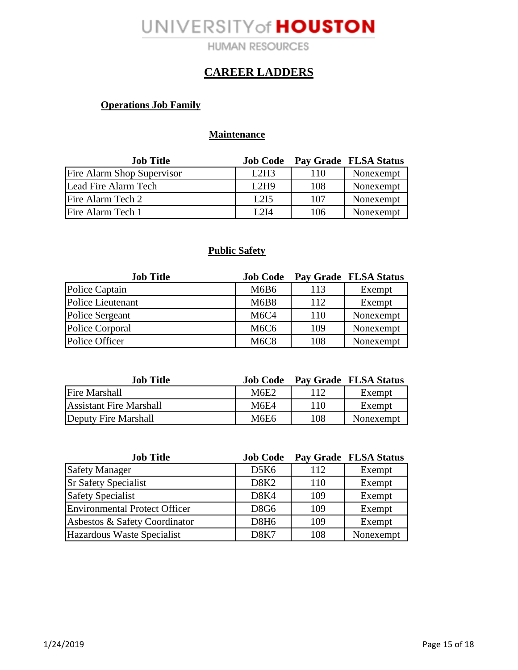**HUMAN RESOURCES** 

### **CAREER LADDERS**

### **Operations Job Family**

### **Maintenance**

| <b>Job Title</b>           | <b>Job Code</b> |     | Pay Grade FLSA Status |
|----------------------------|-----------------|-----|-----------------------|
| Fire Alarm Shop Supervisor | L2H3            | 110 | Nonexempt             |
| Lead Fire Alarm Tech       | L2H9            | 108 | Nonexempt             |
| Fire Alarm Tech 2          | L2I5            | 107 | Nonexempt             |
| Fire Alarm Tech 1          | I 2I4           | 106 | Nonexempt             |

#### **Public Safety**

| <b>Job Title</b>         | <b>Job Code</b>               |     | Pay Grade FLSA Status |
|--------------------------|-------------------------------|-----|-----------------------|
| Police Captain           | M6B6                          | 113 | Exempt                |
| <b>Police Lieutenant</b> | <b>M6B8</b>                   | 112 | Exempt                |
| Police Sergeant          | M <sub>6</sub> C <sub>4</sub> | 110 | Nonexempt             |
| Police Corporal          | M <sub>6</sub> C <sub>6</sub> | 109 | Nonexempt             |
| Police Officer           | <b>M6C8</b>                   | 108 | Nonexempt             |

| <b>Job Title</b>        | <b>Job Code</b> |     | Pay Grade FLSA Status |
|-------------------------|-----------------|-----|-----------------------|
| <b>Fire Marshall</b>    | M6E2            |     | Exempt                |
| Assistant Fire Marshall | M6E4            | 110 | Exempt                |
| Deputy Fire Marshall    | M6E6            | 108 | Nonexempt             |

| <b>Job Title</b>                     | <b>Job Code</b>  |     | Pay Grade FLSA Status |
|--------------------------------------|------------------|-----|-----------------------|
| <b>Safety Manager</b>                | D5K6             | 112 | Exempt                |
| <b>Sr Safety Specialist</b>          | D8K <sub>2</sub> | 110 | Exempt                |
| <b>Safety Specialist</b>             | D8K4             | 109 | Exempt                |
| <b>Environmental Protect Officer</b> | <b>D8G6</b>      | 109 | Exempt                |
| Asbestos & Safety Coordinator        | D8H <sub>6</sub> | 109 | Exempt                |
| Hazardous Waste Specialist           | D8K7             | 108 | Nonexempt             |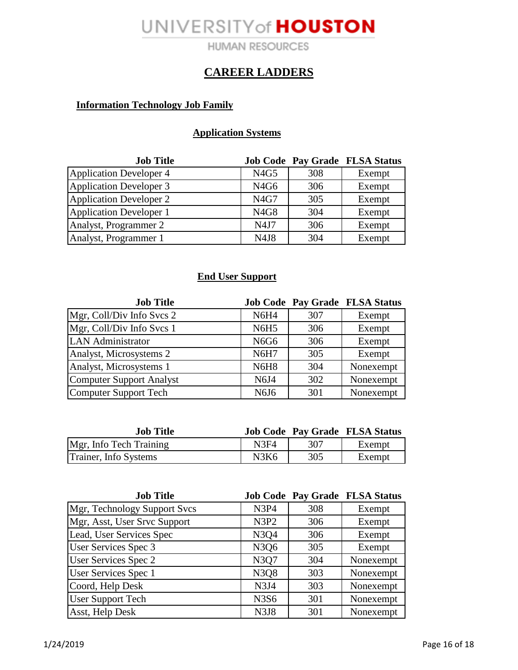**HUMAN RESOURCES** 

### **CAREER LADDERS**

### **Information Technology Job Family**

### **Application Systems**

| <b>Job Title</b>               |                  |     | <b>Job Code Pay Grade FLSA Status</b> |
|--------------------------------|------------------|-----|---------------------------------------|
| <b>Application Developer 4</b> | N4G5             | 308 | Exempt                                |
| <b>Application Developer 3</b> | N <sub>4G6</sub> | 306 | Exempt                                |
| <b>Application Developer 2</b> | N4G7             | 305 | Exempt                                |
| Application Developer 1        | N4G8             | 304 | Exempt                                |
| Analyst, Programmer 2          | N4J7             | 306 | Exempt                                |
| Analyst, Programmer 1          | N4J8             | 304 | Exempt                                |

### **End User Support**

| <b>Job Title</b>                |             |     | <b>Job Code Pay Grade FLSA Status</b> |
|---------------------------------|-------------|-----|---------------------------------------|
| Mgr, Coll/Div Info Svcs 2       | <b>N6H4</b> | 307 | Exempt                                |
| Mgr, Coll/Div Info Svcs 1       | <b>N6H5</b> | 306 | Exempt                                |
| <b>LAN</b> Administrator        | <b>N6G6</b> | 306 | Exempt                                |
| Analyst, Microsystems 2         | <b>N6H7</b> | 305 | Exempt                                |
| Analyst, Microsystems 1         | <b>N6H8</b> | 304 | Nonexempt                             |
| <b>Computer Support Analyst</b> | N6J4        | 302 | Nonexempt                             |
| Computer Support Tech           | N6J6        | 301 | Nonexempt                             |

| <b>Job Title</b>        |      |     | <b>Job Code Pay Grade FLSA Status</b> |
|-------------------------|------|-----|---------------------------------------|
| Mgr, Info Tech Training | N3F4 | 307 | Exempt                                |
| Trainer, Info Systems   | N3K6 | 305 | Exempt                                |

| <b>Job Title</b>             |      |     | <b>Job Code Pay Grade FLSA Status</b> |
|------------------------------|------|-----|---------------------------------------|
| Mgr, Technology Support Svcs | N3P4 | 308 | Exempt                                |
| Mgr, Asst, User Srvc Support | N3P2 | 306 | Exempt                                |
| Lead, User Services Spec     | N3Q4 | 306 | Exempt                                |
| <b>User Services Spec 3</b>  | N3Q6 | 305 | Exempt                                |
| <b>User Services Spec 2</b>  | N3Q7 | 304 | Nonexempt                             |
| User Services Spec 1         | N3Q8 | 303 | Nonexempt                             |
| Coord, Help Desk             | N3J4 | 303 | Nonexempt                             |
| <b>User Support Tech</b>     | N3S6 | 301 | Nonexempt                             |
| Asst, Help Desk              | N3J8 | 301 | Nonexempt                             |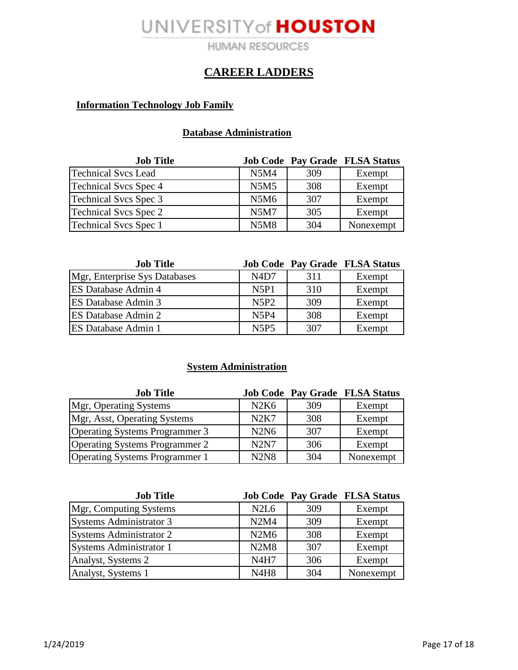**HUMAN RESOURCES** 

### **CAREER LADDERS**

### **Information Technology Job Family**

### **Database Administration**

| <b>Job Title</b>             |             |     | <b>Job Code Pay Grade FLSA Status</b> |
|------------------------------|-------------|-----|---------------------------------------|
| <b>Technical Svcs Lead</b>   | <b>N5M4</b> | 309 | Exempt                                |
| <b>Technical Svcs Spec 4</b> | <b>N5M5</b> | 308 | Exempt                                |
| <b>Technical Svcs Spec 3</b> | N5M6        | 307 | Exempt                                |
| <b>Technical Svcs Spec 2</b> | <b>N5M7</b> | 305 | Exempt                                |
| Technical Svcs Spec 1        | <b>N5M8</b> | 304 | Nonexempt                             |

| <b>Job Title</b>              |                               |     | <b>Job Code Pay Grade FLSA Status</b> |
|-------------------------------|-------------------------------|-----|---------------------------------------|
| Mgr, Enterprise Sys Databases | N <sub>4</sub> D <sub>7</sub> | 311 | Exempt                                |
| <b>ES Database Admin 4</b>    | N5P1                          | 310 | Exempt                                |
| <b>ES Database Admin 3</b>    | N5P2                          | 309 | Exempt                                |
| <b>ES Database Admin 2</b>    | <b>N5P4</b>                   | 308 | Exempt                                |
| <b>ES Database Admin 1</b>    | <b>N5P5</b>                   | 307 | Exempt                                |

### **System Administration**

| <b>Job Title</b>                      |             |     | <b>Job Code Pay Grade FLSA Status</b> |
|---------------------------------------|-------------|-----|---------------------------------------|
| Mgr, Operating Systems                | N2K6        | 309 | Exempt                                |
| Mgr, Asst, Operating Systems          | N2K7        | 308 | Exempt                                |
| <b>Operating Systems Programmer 3</b> | <b>N2N6</b> | 307 | Exempt                                |
| <b>Operating Systems Programmer 2</b> | <b>N2N7</b> | 306 | Exempt                                |
| <b>Operating Systems Programmer 1</b> | <b>N2N8</b> | 304 | Nonexempt                             |

| <b>Job Title</b>               |                               |     | <b>Job Code Pay Grade FLSA Status</b> |
|--------------------------------|-------------------------------|-----|---------------------------------------|
| Mgr, Computing Systems         | N <sub>2</sub> L <sub>6</sub> | 309 | Exempt                                |
| <b>Systems Administrator 3</b> | N2M4                          | 309 | Exempt                                |
| Systems Administrator 2        | N2M6                          | 308 | Exempt                                |
| Systems Administrator 1        | N2M8                          | 307 | Exempt                                |
| Analyst, Systems 2             | <b>N4H7</b>                   | 306 | Exempt                                |
| Analyst, Systems 1             | <b>N4H8</b>                   | 304 | Nonexempt                             |